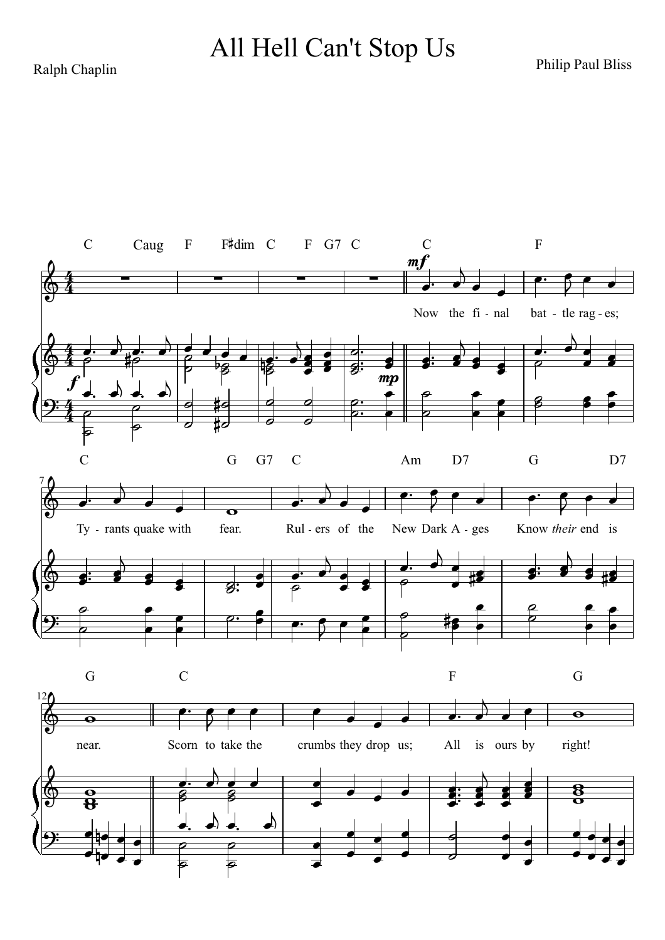Ralph Chaplin **Philip Paul Bliss** Ralph Chaplin All Hell Can't Stop Us

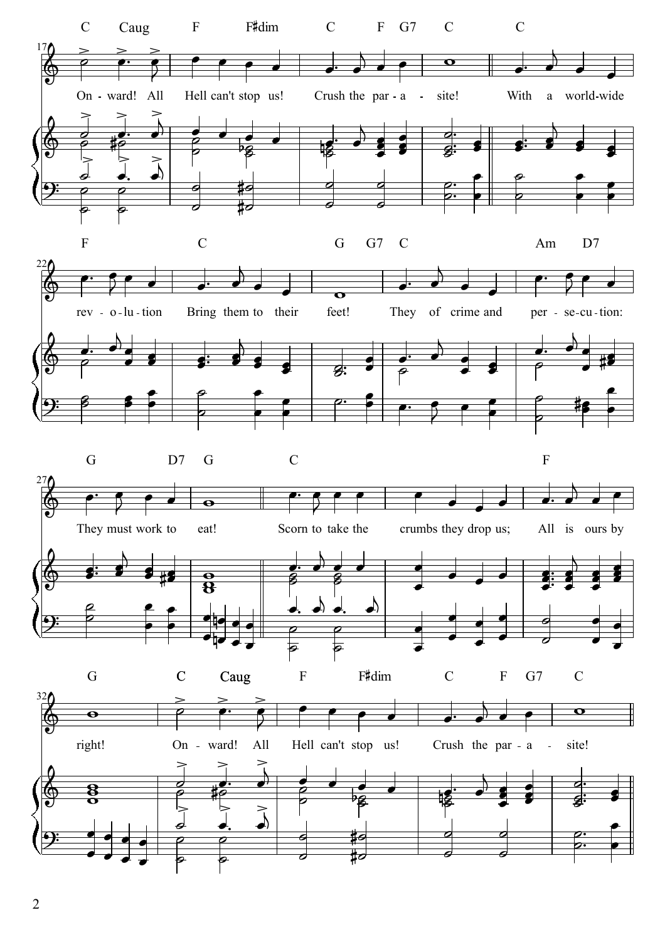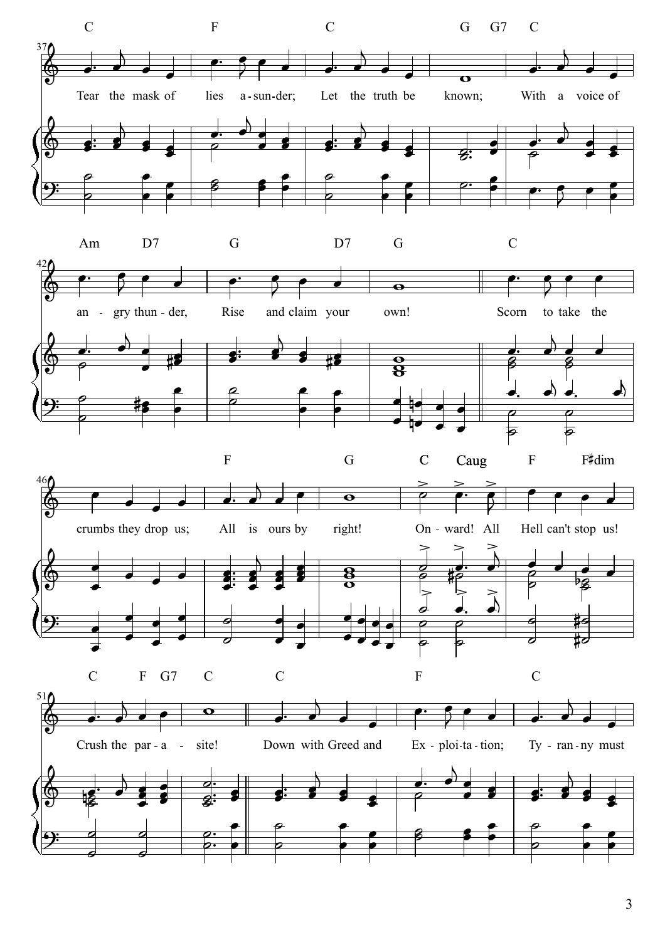